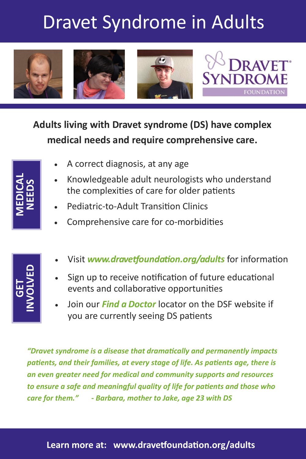# Dravet Syndrome in Adults



## **Adults living with Dravet syndrome (DS) have complex medical needs and require comprehensive care.**

| A correct diagnosis, at any age |  |
|---------------------------------|--|
|---------------------------------|--|

- Knowledgeable adult neurologists who understand the complexities of care for older patients
- Pediatric-to-Adult Transition Clinics
- Comprehensive care for co-morbidities
- **GET INVOLVED**
- Visit *www.dravetfoundation.org/adults* for information
- Sign up to receive notification of future educational events and collaborative opportunities
- Join our *Find a Doctor* locator on the DSF website if you are currently seeing DS patients

**EXECTED:** Knowledgeable adult neurologists who understically the complexities of care for older patients <br>
Pediatric-to-Adult Transition Clinics<br>
Comprehensive care for co-morbidities<br>
• Visit www.dravetfoundation.org/adu *"Dravet syndrome is a disease that dramatically and permanently impacts patients, and their families, at every stage of life. As patients age, there is an even greater need for medical and community supports and resources to ensure a safe and meaningful quality of life for patients and those who care for them." - Barbara, mother to Jake, age 23 with DS*